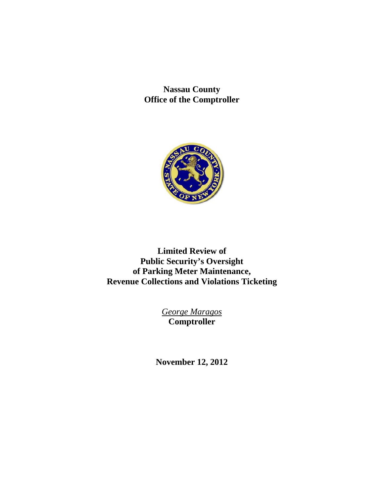**Nassau County Office of the Comptroller** 



**Limited Review of Public Security's Oversight of Parking Meter Maintenance, Revenue Collections and Violations Ticketing** 

> *George Maragos*  **Comptroller**

**November 12, 2012**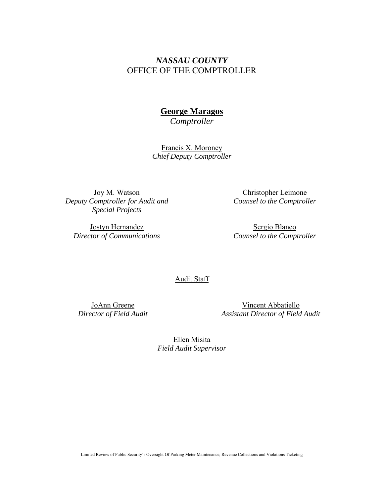## *NASSAU COUNTY*  OFFICE OF THE COMPTROLLER

# **George Maragos**

*Comptroller* 

Francis X. Moroney *Chief Deputy Comptroller* 

Joy M. Watson *Deputy Comptroller for Audit and Special Projects* 

Jostyn Hernandez *Director of Communications* 

Christopher Leimone *Counsel to the Comptroller* 

Sergio Blanco *Counsel to the Comptroller* 

#### Audit Staff

JoAnn Greene *Director of Field Audit* 

Vincent Abbatiello *Assistant Director of Field Audit* 

Ellen Misita *Field Audit Supervisor*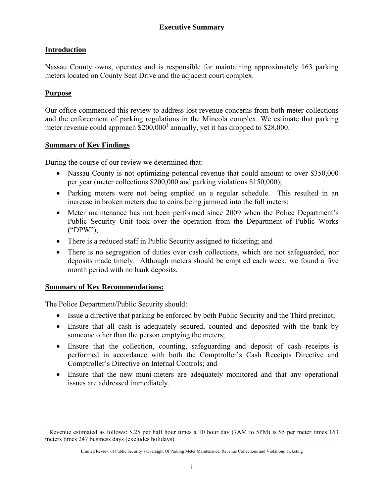## **Introduction**

Nassau County owns, operates and is responsible for maintaining approximately 163 parking meters located on County Seat Drive and the adjacent court complex.

## **Purpose**

Our office commenced this review to address lost revenue concerns from both meter collections and the enforcement of parking regulations in the Mineola complex. We estimate that parking meter revenue could approach  $$200,000$ <sup>1</sup> annually, yet it has dropped to \$28,000.

#### **Summary of Key Findings**

During the course of our review we determined that:

- Nassau County is not optimizing potential revenue that could amount to over \$350,000 per year (meter collections \$200,000 and parking violations \$150,000);
- Parking meters were not being emptied on a regular schedule. This resulted in an increase in broken meters due to coins being jammed into the full meters;
- Meter maintenance has not been performed since 2009 when the Police Department's Public Security Unit took over the operation from the Department of Public Works ("DPW");
- There is a reduced staff in Public Security assigned to ticketing; and
- There is no segregation of duties over cash collections, which are not safeguarded, nor deposits made timely. Although meters should be emptied each week, we found a five month period with no bank deposits.

## **Summary of Key Recommendations:**

The Police Department/Public Security should:

- Issue a directive that parking be enforced by both Public Security and the Third precinct;
- Ensure that all cash is adequately secured, counted and deposited with the bank by someone other than the person emptying the meters;
- Ensure that the collection, counting, safeguarding and deposit of cash receipts is performed in accordance with both the Comptroller's Cash Receipts Directive and Comptroller's Directive on Internal Controls; and
- Ensure that the new muni-meters are adequately monitored and that any operational issues are addressed immediately.

 $\overline{a}$ <sup>1</sup> Revenue estimated as follows: \$.25 per half hour times a 10 hour day (7AM to 5PM) is \$5 per meter times 163 meters times 247 business days (excludes holidays).

Limited Review of Public Security's Oversight Of Parking Meter Maintenance, Revenue Collections and Violations Ticketing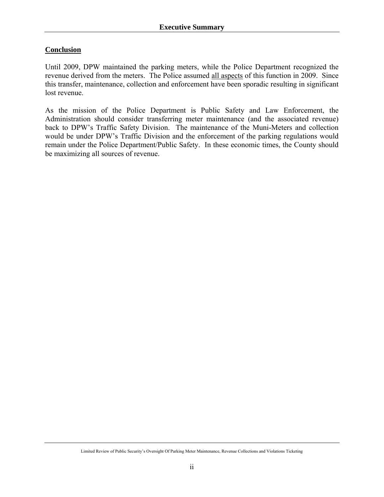## **Conclusion**

Until 2009, DPW maintained the parking meters, while the Police Department recognized the revenue derived from the meters. The Police assumed all aspects of this function in 2009. Since this transfer, maintenance, collection and enforcement have been sporadic resulting in significant lost revenue.

As the mission of the Police Department is Public Safety and Law Enforcement, the Administration should consider transferring meter maintenance (and the associated revenue) back to DPW's Traffic Safety Division. The maintenance of the Muni-Meters and collection would be under DPW's Traffic Division and the enforcement of the parking regulations would remain under the Police Department/Public Safety. In these economic times, the County should be maximizing all sources of revenue.

Limited Review of Public Security's Oversight Of Parking Meter Maintenance, Revenue Collections and Violations Ticketing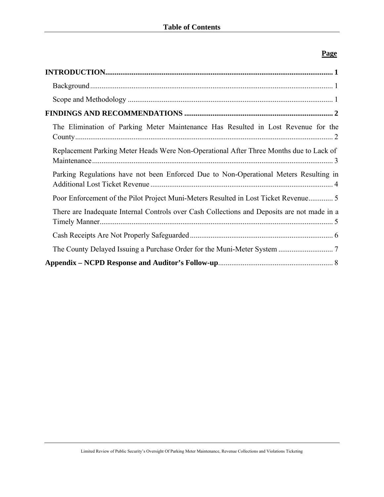## **Page**

| The Elimination of Parking Meter Maintenance Has Resulted in Lost Revenue for the           |
|---------------------------------------------------------------------------------------------|
| Replacement Parking Meter Heads Were Non-Operational After Three Months due to Lack of      |
| Parking Regulations have not been Enforced Due to Non-Operational Meters Resulting in       |
| Poor Enforcement of the Pilot Project Muni-Meters Resulted in Lost Ticket Revenue5          |
| There are Inadequate Internal Controls over Cash Collections and Deposits are not made in a |
|                                                                                             |
|                                                                                             |
|                                                                                             |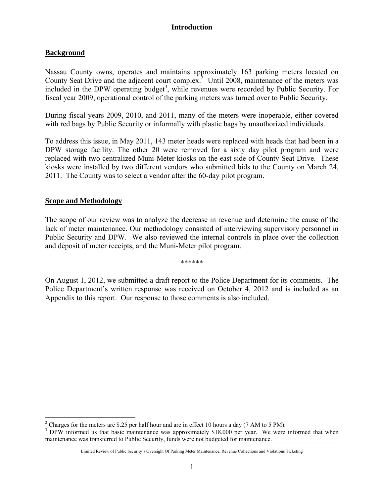## **Background**

Nassau County owns, operates and maintains approximately 163 parking meters located on County Seat Drive and the adjacent court complex.<sup>2</sup> Until 2008, maintenance of the meters was included in the DPW operating budget<sup>3</sup>, while revenues were recorded by Public Security. For fiscal year 2009, operational control of the parking meters was turned over to Public Security.

During fiscal years 2009, 2010, and 2011, many of the meters were inoperable, either covered with red bags by Public Security or informally with plastic bags by unauthorized individuals.

To address this issue, in May 2011, 143 meter heads were replaced with heads that had been in a DPW storage facility. The other 20 were removed for a sixty day pilot program and were replaced with two centralized Muni-Meter kiosks on the east side of County Seat Drive. These kiosks were installed by two different vendors who submitted bids to the County on March 24, 2011. The County was to select a vendor after the 60-day pilot program.

#### **Scope and Methodology**

 $\overline{a}$ 

The scope of our review was to analyze the decrease in revenue and determine the cause of the lack of meter maintenance. Our methodology consisted of interviewing supervisory personnel in Public Security and DPW. We also reviewed the internal controls in place over the collection and deposit of meter receipts, and the Muni-Meter pilot program.

\*\*\*\*\*\*

On August 1, 2012, we submitted a draft report to the Police Department for its comments. The Police Department's written response was received on October 4, 2012 and is included as an Appendix to this report. Our response to those comments is also included.

<sup>&</sup>lt;sup>2</sup> Charges for the meters are \$.25 per half hour and are in effect 10 hours a day (7 AM to 5 PM).<br><sup>3</sup> DBW informed us that hosia maintanance was approximately \$18,000 per year. We were

<sup>&</sup>lt;sup>3</sup> DPW informed us that basic maintenance was approximately \$18,000 per year. We were informed that when maintenance was transferred to Public Security, funds were not budgeted for maintenance.

Limited Review of Public Security's Oversight Of Parking Meter Maintenance, Revenue Collections and Violations Ticketing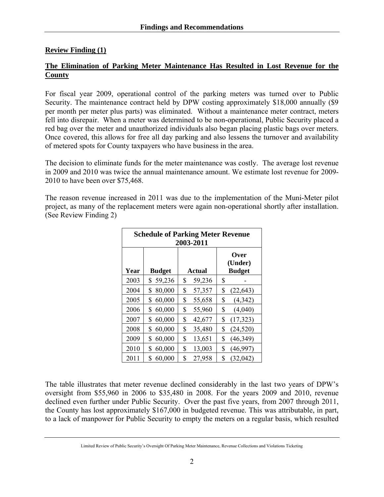## **Review Finding (1)**

### **The Elimination of Parking Meter Maintenance Has Resulted in Lost Revenue for the County**

For fiscal year 2009, operational control of the parking meters was turned over to Public Security. The maintenance contract held by DPW costing approximately \$18,000 annually (\$9 per month per meter plus parts) was eliminated. Without a maintenance meter contract, meters fell into disrepair. When a meter was determined to be non-operational, Public Security placed a red bag over the meter and unauthorized individuals also began placing plastic bags over meters. Once covered, this allows for free all day parking and also lessens the turnover and availability of metered spots for County taxpayers who have business in the area.

The decision to eliminate funds for the meter maintenance was costly. The average lost revenue in 2009 and 2010 was twice the annual maintenance amount. We estimate lost revenue for 2009- 2010 to have been over \$75,468.

The reason revenue increased in 2011 was due to the implementation of the Muni-Meter pilot project, as many of the replacement meters were again non-operational shortly after installation. (See Review Finding 2)

| <b>Schedule of Parking Meter Revenue</b><br>2003-2011 |               |               |                                  |  |
|-------------------------------------------------------|---------------|---------------|----------------------------------|--|
| Year                                                  | <b>Budget</b> | <b>Actual</b> | Over<br>(Under)<br><b>Budget</b> |  |
| 2003                                                  | 59,236<br>\$  | \$<br>59,236  | \$                               |  |
| 2004                                                  | 80,000        | \$            | \$                               |  |
|                                                       | \$            | 57,357        | (22, 643)                        |  |
| 2005                                                  | 60,000        | \$            | \$                               |  |
|                                                       | \$            | 55,658        | (4,342)                          |  |
| 2006                                                  | 60,000        | \$            | \$                               |  |
|                                                       | \$            | 55,960        | (4,040)                          |  |
| 2007                                                  | 60,000        | \$            | \$                               |  |
|                                                       | \$            | 42,677        | (17, 323)                        |  |
| 2008                                                  | 60,000        | \$            | \$                               |  |
|                                                       | \$            | 35,480        | (24, 520)                        |  |
| 2009                                                  | 60,000        | \$            | \$                               |  |
|                                                       | \$            | 13,651        | (46,349)                         |  |
| 2010                                                  | \$            | \$            | \$                               |  |
|                                                       | 60,000        | 13,003        | (46,997)                         |  |
| 2011                                                  | 60,000        | \$            | \$                               |  |
|                                                       | S             | 27,958        | (32,042)                         |  |

The table illustrates that meter revenue declined considerably in the last two years of DPW's oversight from \$55,960 in 2006 to \$35,480 in 2008. For the years 2009 and 2010, revenue declined even further under Public Security. Over the past five years, from 2007 through 2011, the County has lost approximately \$167,000 in budgeted revenue. This was attributable, in part, to a lack of manpower for Public Security to empty the meters on a regular basis, which resulted

Limited Review of Public Security's Oversight Of Parking Meter Maintenance, Revenue Collections and Violations Ticketing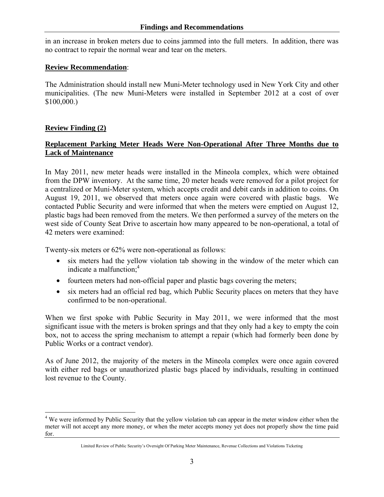in an increase in broken meters due to coins jammed into the full meters. In addition, there was no contract to repair the normal wear and tear on the meters.

#### **Review Recommendation**:

The Administration should install new Muni-Meter technology used in New York City and other municipalities. (The new Muni-Meters were installed in September 2012 at a cost of over \$100,000.)

#### **Review Finding (2)**

 $\overline{a}$ 

## **Replacement Parking Meter Heads Were Non-Operational After Three Months due to Lack of Maintenance**

In May 2011, new meter heads were installed in the Mineola complex, which were obtained from the DPW inventory. At the same time, 20 meter heads were removed for a pilot project for a centralized or Muni-Meter system, which accepts credit and debit cards in addition to coins. On August 19, 2011, we observed that meters once again were covered with plastic bags. We contacted Public Security and were informed that when the meters were emptied on August 12, plastic bags had been removed from the meters. We then performed a survey of the meters on the west side of County Seat Drive to ascertain how many appeared to be non-operational, a total of 42 meters were examined:

Twenty-six meters or 62% were non-operational as follows:

- six meters had the yellow violation tab showing in the window of the meter which can indicate a malfunction; $4$
- fourteen meters had non-official paper and plastic bags covering the meters;
- six meters had an official red bag, which Public Security places on meters that they have confirmed to be non-operational.

When we first spoke with Public Security in May 2011, we were informed that the most significant issue with the meters is broken springs and that they only had a key to empty the coin box, not to access the spring mechanism to attempt a repair (which had formerly been done by Public Works or a contract vendor).

As of June 2012, the majority of the meters in the Mineola complex were once again covered with either red bags or unauthorized plastic bags placed by individuals, resulting in continued lost revenue to the County.

<sup>&</sup>lt;sup>4</sup> We were informed by Public Security that the yellow violation tab can appear in the meter window either when the meter will not accept any more money, or when the meter accepts money yet does not properly show the time paid for.

Limited Review of Public Security's Oversight Of Parking Meter Maintenance, Revenue Collections and Violations Ticketing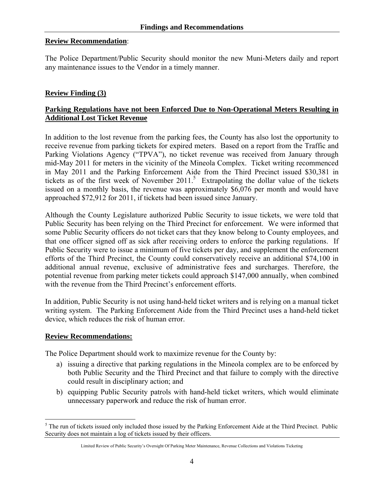#### **Review Recommendation**:

The Police Department/Public Security should monitor the new Muni-Meters daily and report any maintenance issues to the Vendor in a timely manner.

## **Review Finding (3)**

## **Parking Regulations have not been Enforced Due to Non-Operational Meters Resulting in Additional Lost Ticket Revenue**

In addition to the lost revenue from the parking fees, the County has also lost the opportunity to receive revenue from parking tickets for expired meters. Based on a report from the Traffic and Parking Violations Agency ("TPVA"), no ticket revenue was received from January through mid-May 2011 for meters in the vicinity of the Mineola Complex. Ticket writing recommenced in May 2011 and the Parking Enforcement Aide from the Third Precinct issued \$30,381 in tickets as of the first week of November 2011.<sup>5</sup> Extrapolating the dollar value of the tickets issued on a monthly basis, the revenue was approximately \$6,076 per month and would have approached \$72,912 for 2011, if tickets had been issued since January.

Although the County Legislature authorized Public Security to issue tickets, we were told that Public Security has been relying on the Third Precinct for enforcement. We were informed that some Public Security officers do not ticket cars that they know belong to County employees, and that one officer signed off as sick after receiving orders to enforce the parking regulations. If Public Security were to issue a minimum of five tickets per day, and supplement the enforcement efforts of the Third Precinct, the County could conservatively receive an additional \$74,100 in additional annual revenue, exclusive of administrative fees and surcharges. Therefore, the potential revenue from parking meter tickets could approach \$147,000 annually, when combined with the revenue from the Third Precinct's enforcement efforts.

In addition, Public Security is not using hand-held ticket writers and is relying on a manual ticket writing system. The Parking Enforcement Aide from the Third Precinct uses a hand-held ticket device, which reduces the risk of human error.

#### **Review Recommendations:**

 $\overline{a}$ 

The Police Department should work to maximize revenue for the County by:

- a) issuing a directive that parking regulations in the Mineola complex are to be enforced by both Public Security and the Third Precinct and that failure to comply with the directive could result in disciplinary action; and
- b) equipping Public Security patrols with hand-held ticket writers, which would eliminate unnecessary paperwork and reduce the risk of human error.

 $<sup>5</sup>$  The run of tickets issued only included those issued by the Parking Enforcement Aide at the Third Precinct. Public</sup> Security does not maintain a log of tickets issued by their officers.

Limited Review of Public Security's Oversight Of Parking Meter Maintenance, Revenue Collections and Violations Ticketing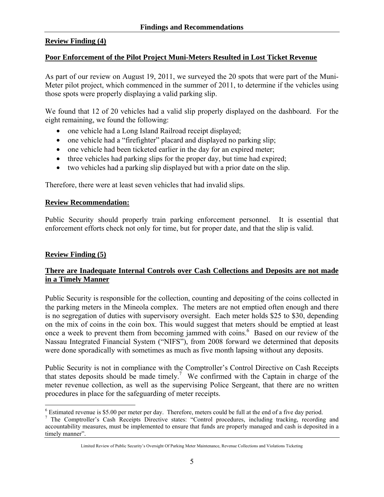## **Review Finding (4)**

#### **Poor Enforcement of the Pilot Project Muni-Meters Resulted in Lost Ticket Revenue**

As part of our review on August 19, 2011, we surveyed the 20 spots that were part of the Muni-Meter pilot project, which commenced in the summer of 2011, to determine if the vehicles using those spots were properly displaying a valid parking slip.

We found that 12 of 20 vehicles had a valid slip properly displayed on the dashboard. For the eight remaining, we found the following:

- one vehicle had a Long Island Railroad receipt displayed;
- one vehicle had a "firefighter" placard and displayed no parking slip;
- one vehicle had been ticketed earlier in the day for an expired meter;
- three vehicles had parking slips for the proper day, but time had expired;
- two vehicles had a parking slip displayed but with a prior date on the slip.

Therefore, there were at least seven vehicles that had invalid slips.

#### **Review Recommendation:**

Public Security should properly train parking enforcement personnel. It is essential that enforcement efforts check not only for time, but for proper date, and that the slip is valid.

## **Review Finding (5)**

1

## **There are Inadequate Internal Controls over Cash Collections and Deposits are not made in a Timely Manner**

Public Security is responsible for the collection, counting and depositing of the coins collected in the parking meters in the Mineola complex. The meters are not emptied often enough and there is no segregation of duties with supervisory oversight. Each meter holds \$25 to \$30, depending on the mix of coins in the coin box. This would suggest that meters should be emptied at least once a week to prevent them from becoming jammed with coins.<sup>6</sup> Based on our review of the Nassau Integrated Financial System ("NIFS"), from 2008 forward we determined that deposits were done sporadically with sometimes as much as five month lapsing without any deposits.

Public Security is not in compliance with the Comptroller's Control Directive on Cash Receipts that states deposits should be made timely.<sup>7</sup> We confirmed with the Captain in charge of the meter revenue collection, as well as the supervising Police Sergeant, that there are no written procedures in place for the safeguarding of meter receipts.

 $6$  Estimated revenue is \$5.00 per meter per day. Therefore, meters could be full at the end of a five day period.

<sup>&</sup>lt;sup>7</sup> The Comptroller's Cash Receipts Directive states: "Control procedures, including tracking, recording and accountability measures, must be implemented to ensure that funds are properly managed and cash is deposited in a timely manner".

Limited Review of Public Security's Oversight Of Parking Meter Maintenance, Revenue Collections and Violations Ticketing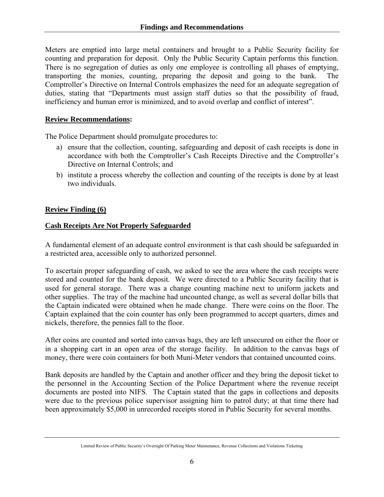Meters are emptied into large metal containers and brought to a Public Security facility for counting and preparation for deposit. Only the Public Security Captain performs this function. There is no segregation of duties as only one employee is controlling all phases of emptying, transporting the monies, counting, preparing the deposit and going to the bank. The Comptroller's Directive on Internal Controls emphasizes the need for an adequate segregation of duties, stating that "Departments must assign staff duties so that the possibility of fraud, inefficiency and human error is minimized, and to avoid overlap and conflict of interest".

### **Review Recommendations:**

The Police Department should promulgate procedures to:

- a) ensure that the collection, counting, safeguarding and deposit of cash receipts is done in accordance with both the Comptroller's Cash Receipts Directive and the Comptroller's Directive on Internal Controls; and
- b) institute a process whereby the collection and counting of the receipts is done by at least two individuals.

## **Review Finding (6)**

## **Cash Receipts Are Not Properly Safeguarded**

A fundamental element of an adequate control environment is that cash should be safeguarded in a restricted area, accessible only to authorized personnel.

To ascertain proper safeguarding of cash, we asked to see the area where the cash receipts were stored and counted for the bank deposit. We were directed to a Public Security facility that is used for general storage. There was a change counting machine next to uniform jackets and other supplies. The tray of the machine had uncounted change, as well as several dollar bills that the Captain indicated were obtained when he made change. There were coins on the floor. The Captain explained that the coin counter has only been programmed to accept quarters, dimes and nickels, therefore, the pennies fall to the floor.

After coins are counted and sorted into canvas bags, they are left unsecured on either the floor or in a shopping cart in an open area of the storage facility. In addition to the canvas bags of money, there were coin containers for both Muni-Meter vendors that contained uncounted coins.

Bank deposits are handled by the Captain and another officer and they bring the deposit ticket to the personnel in the Accounting Section of the Police Department where the revenue receipt documents are posted into NIFS. The Captain stated that the gaps in collections and deposits were due to the previous police supervisor assigning him to patrol duty; at that time there had been approximately \$5,000 in unrecorded receipts stored in Public Security for several months.

Limited Review of Public Security's Oversight Of Parking Meter Maintenance, Revenue Collections and Violations Ticketing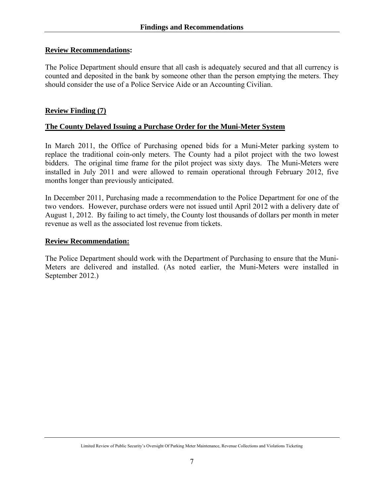### **Review Recommendations:**

The Police Department should ensure that all cash is adequately secured and that all currency is counted and deposited in the bank by someone other than the person emptying the meters. They should consider the use of a Police Service Aide or an Accounting Civilian.

#### **Review Finding (7)**

#### **The County Delayed Issuing a Purchase Order for the Muni-Meter System**

In March 2011, the Office of Purchasing opened bids for a Muni-Meter parking system to replace the traditional coin-only meters. The County had a pilot project with the two lowest bidders. The original time frame for the pilot project was sixty days. The Muni-Meters were installed in July 2011 and were allowed to remain operational through February 2012, five months longer than previously anticipated.

In December 2011, Purchasing made a recommendation to the Police Department for one of the two vendors. However, purchase orders were not issued until April 2012 with a delivery date of August 1, 2012. By failing to act timely, the County lost thousands of dollars per month in meter revenue as well as the associated lost revenue from tickets.

#### **Review Recommendation:**

The Police Department should work with the Department of Purchasing to ensure that the Muni-Meters are delivered and installed. (As noted earlier, the Muni-Meters were installed in September 2012.)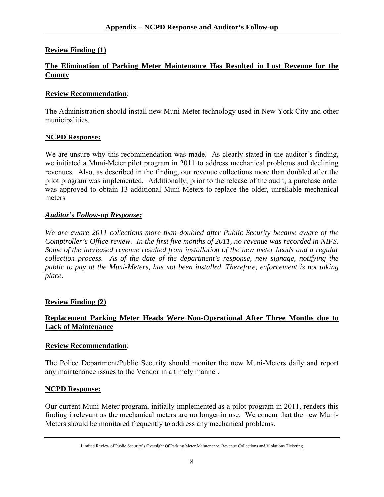## **Review Finding (1)**

### **The Elimination of Parking Meter Maintenance Has Resulted in Lost Revenue for the County**

#### **Review Recommendation**:

The Administration should install new Muni-Meter technology used in New York City and other municipalities.

#### **NCPD Response:**

We are unsure why this recommendation was made. As clearly stated in the auditor's finding, we initiated a Muni-Meter pilot program in 2011 to address mechanical problems and declining revenues. Also, as described in the finding, our revenue collections more than doubled after the pilot program was implemented. Additionally, prior to the release of the audit, a purchase order was approved to obtain 13 additional Muni-Meters to replace the older, unreliable mechanical meters

#### *Auditor's Follow-up Response:*

*We are aware 2011 collections more than doubled after Public Security became aware of the Comptroller's Office review. In the first five months of 2011, no revenue was recorded in NIFS. Some of the increased revenue resulted from installation of the new meter heads and a regular collection process. As of the date of the department's response, new signage, notifying the public to pay at the Muni-Meters, has not been installed. Therefore, enforcement is not taking place.* 

## **Review Finding (2)**

## **Replacement Parking Meter Heads Were Non-Operational After Three Months due to Lack of Maintenance**

#### **Review Recommendation**:

The Police Department/Public Security should monitor the new Muni-Meters daily and report any maintenance issues to the Vendor in a timely manner.

#### **NCPD Response:**

Our current Muni-Meter program, initially implemented as a pilot program in 2011, renders this finding irrelevant as the mechanical meters are no longer in use. We concur that the new Muni-Meters should be monitored frequently to address any mechanical problems.

Limited Review of Public Security's Oversight Of Parking Meter Maintenance, Revenue Collections and Violations Ticketing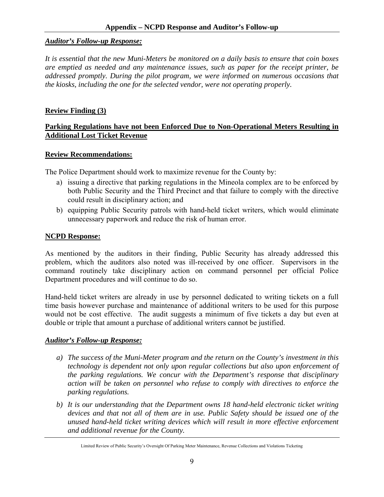#### *Auditor's Follow-up Response:*

*It is essential that the new Muni-Meters be monitored on a daily basis to ensure that coin boxes are emptied as needed and any maintenance issues, such as paper for the receipt printer, be addressed promptly. During the pilot program, we were informed on numerous occasions that the kiosks, including the one for the selected vendor, were not operating properly.* 

#### **Review Finding (3)**

## **Parking Regulations have not been Enforced Due to Non-Operational Meters Resulting in Additional Lost Ticket Revenue**

#### **Review Recommendations:**

The Police Department should work to maximize revenue for the County by:

- a) issuing a directive that parking regulations in the Mineola complex are to be enforced by both Public Security and the Third Precinct and that failure to comply with the directive could result in disciplinary action; and
- b) equipping Public Security patrols with hand-held ticket writers, which would eliminate unnecessary paperwork and reduce the risk of human error.

#### **NCPD Response:**

As mentioned by the auditors in their finding, Public Security has already addressed this problem, which the auditors also noted was ill-received by one officer. Supervisors in the command routinely take disciplinary action on command personnel per official Police Department procedures and will continue to do so.

Hand-held ticket writers are already in use by personnel dedicated to writing tickets on a full time basis however purchase and maintenance of additional writers to be used for this purpose would not be cost effective. The audit suggests a minimum of five tickets a day but even at double or triple that amount a purchase of additional writers cannot be justified.

#### *Auditor's Follow-up Response:*

- *a) The success of the Muni-Meter program and the return on the County's investment in this technology is dependent not only upon regular collections but also upon enforcement of the parking regulations. We concur with the Department's response that disciplinary action will be taken on personnel who refuse to comply with directives to enforce the parking regulations.*
- *b) It is our understanding that the Department owns 18 hand-held electronic ticket writing devices and that not all of them are in use. Public Safety should be issued one of the unused hand-held ticket writing devices which will result in more effective enforcement and additional revenue for the County.*

Limited Review of Public Security's Oversight Of Parking Meter Maintenance, Revenue Collections and Violations Ticketing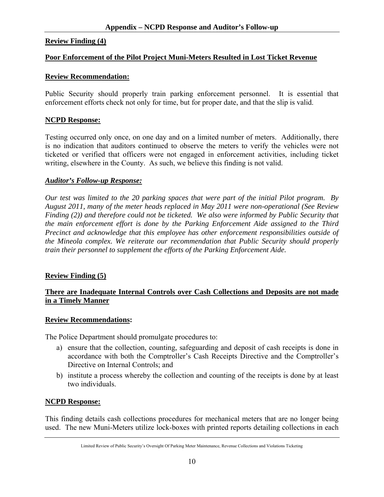#### **Review Finding (4)**

#### **Poor Enforcement of the Pilot Project Muni-Meters Resulted in Lost Ticket Revenue**

#### **Review Recommendation:**

Public Security should properly train parking enforcement personnel. It is essential that enforcement efforts check not only for time, but for proper date, and that the slip is valid.

#### **NCPD Response:**

Testing occurred only once, on one day and on a limited number of meters. Additionally, there is no indication that auditors continued to observe the meters to verify the vehicles were not ticketed or verified that officers were not engaged in enforcement activities, including ticket writing, elsewhere in the County. As such, we believe this finding is not valid.

#### *Auditor's Follow-up Response:*

*Our test was limited to the 20 parking spaces that were part of the initial Pilot program. By August 2011, many of the meter heads replaced in May 2011 were non-operational (See Review Finding (2)) and therefore could not be ticketed. We also were informed by Public Security that the main enforcement effort is done by the Parking Enforcement Aide assigned to the Third Precinct and acknowledge that this employee has other enforcement responsibilities outside of the Mineola complex. We reiterate our recommendation that Public Security should properly train their personnel to supplement the efforts of the Parking Enforcement Aide.* 

#### **Review Finding (5)**

#### **There are Inadequate Internal Controls over Cash Collections and Deposits are not made in a Timely Manner**

#### **Review Recommendations:**

The Police Department should promulgate procedures to:

- a) ensure that the collection, counting, safeguarding and deposit of cash receipts is done in accordance with both the Comptroller's Cash Receipts Directive and the Comptroller's Directive on Internal Controls; and
- b) institute a process whereby the collection and counting of the receipts is done by at least two individuals.

#### **NCPD Response:**

This finding details cash collections procedures for mechanical meters that are no longer being used. The new Muni-Meters utilize lock-boxes with printed reports detailing collections in each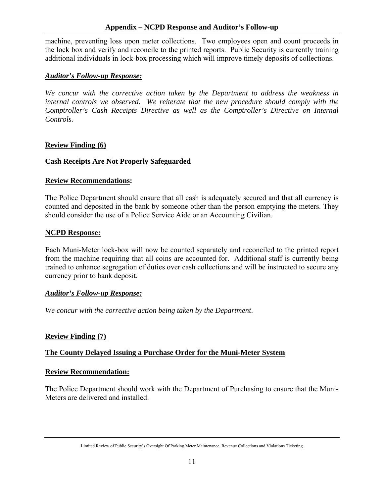machine, preventing loss upon meter collections. Two employees open and count proceeds in the lock box and verify and reconcile to the printed reports. Public Security is currently training additional individuals in lock-box processing which will improve timely deposits of collections.

## *Auditor's Follow-up Response:*

*We concur with the corrective action taken by the Department to address the weakness in internal controls we observed. We reiterate that the new procedure should comply with the Comptroller's Cash Receipts Directive as well as the Comptroller's Directive on Internal Controls.* 

## **Review Finding (6)**

## **Cash Receipts Are Not Properly Safeguarded**

## **Review Recommendations:**

The Police Department should ensure that all cash is adequately secured and that all currency is counted and deposited in the bank by someone other than the person emptying the meters. They should consider the use of a Police Service Aide or an Accounting Civilian.

## **NCPD Response:**

Each Muni-Meter lock-box will now be counted separately and reconciled to the printed report from the machine requiring that all coins are accounted for. Additional staff is currently being trained to enhance segregation of duties over cash collections and will be instructed to secure any currency prior to bank deposit.

## *Auditor's Follow-up Response:*

*We concur with the corrective action being taken by the Department*.

## **Review Finding (7)**

## **The County Delayed Issuing a Purchase Order for the Muni-Meter System**

## **Review Recommendation:**

The Police Department should work with the Department of Purchasing to ensure that the Muni-Meters are delivered and installed.

Limited Review of Public Security's Oversight Of Parking Meter Maintenance, Revenue Collections and Violations Ticketing